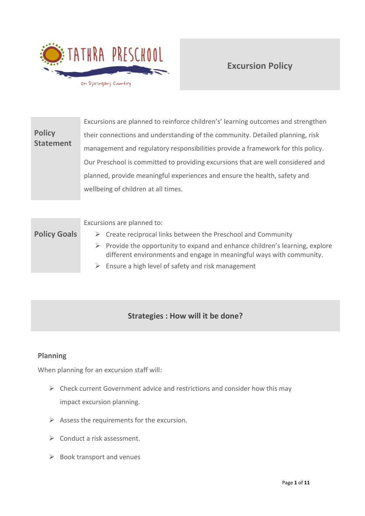

# **Excursion Policy**

|                                   | Excursions are planned to reinforce children's' learning outcomes and strengthen |
|-----------------------------------|----------------------------------------------------------------------------------|
| <b>Policy</b><br><b>Statement</b> | their connections and understanding of the community. Detailed planning, risk    |
|                                   | management and regulatory responsibilities provide a framework for this policy.  |
|                                   | Our Preschool is committed to providing excursions that are well considered and  |
|                                   | planned, provide meaningful experiences and ensure the health, safety and        |
|                                   | wellbeing of children at all times.                                              |

Excursions are planned to:

- **Policy Goals**
	- $\triangleright$  Create reciprocal links between the Preschool and Community
	- $\triangleright$  Provide the opportunity to expand and enhance children's learning, explore different environments and engage in meaningful ways with community.
	- $\triangleright$  Ensure a high level of safety and risk management

# **Strategies : How will it be done?**

# **Planning**

When planning for an excursion staff will:

- ➢ Check current Government advice and restrictions and consider how this may impact excursion planning.
- $\triangleright$  Assess the requirements for the excursion.
- ➢ Conduct a risk assessment.
- $\triangleright$  Book transport and venues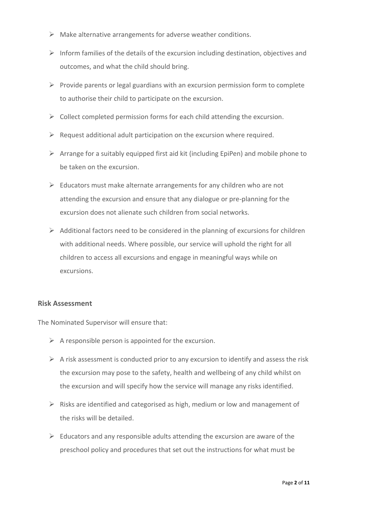- $\triangleright$  Make alternative arrangements for adverse weather conditions.
- $\triangleright$  Inform families of the details of the excursion including destination, objectives and outcomes, and what the child should bring.
- $\triangleright$  Provide parents or legal guardians with an excursion permission form to complete to authorise their child to participate on the excursion.
- $\triangleright$  Collect completed permission forms for each child attending the excursion.
- $\triangleright$  Request additional adult participation on the excursion where required.
- $\triangleright$  Arrange for a suitably equipped first aid kit (including EpiPen) and mobile phone to be taken on the excursion.
- $\triangleright$  Educators must make alternate arrangements for any children who are not attending the excursion and ensure that any dialogue or pre-planning for the excursion does not alienate such children from social networks.
- $\triangleright$  Additional factors need to be considered in the planning of excursions for children with additional needs. Where possible, our service will uphold the right for all children to access all excursions and engage in meaningful ways while on excursions.

### **Risk Assessment**

The Nominated Supervisor will ensure that:

- $\triangleright$  A responsible person is appointed for the excursion.
- $\triangleright$  A risk assessment is conducted prior to any excursion to identify and assess the risk the excursion may pose to the safety, health and wellbeing of any child whilst on the excursion and will specify how the service will manage any risks identified.
- ➢ Risks are identified and categorised as high, medium or low and management of the risks will be detailed.
- $\triangleright$  Educators and any responsible adults attending the excursion are aware of the preschool policy and procedures that set out the instructions for what must be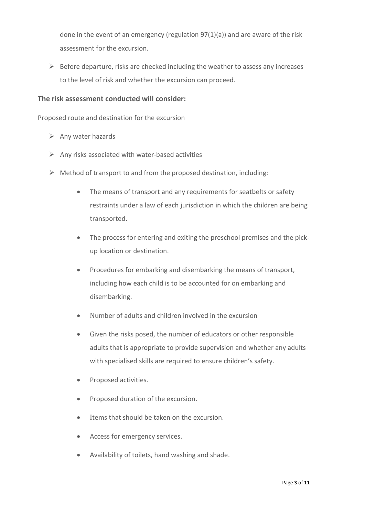done in the event of an emergency (regulation 97(1)(a)) and are aware of the risk assessment for the excursion.

 $\triangleright$  Before departure, risks are checked including the weather to assess any increases to the level of risk and whether the excursion can proceed.

#### **The risk assessment conducted will consider:**

Proposed route and destination for the excursion

- $\triangleright$  Any water hazards
- $\triangleright$  Any risks associated with water-based activities
- $\triangleright$  Method of transport to and from the proposed destination, including:
	- The means of transport and any requirements for seatbelts or safety restraints under a law of each jurisdiction in which the children are being transported.
	- The process for entering and exiting the preschool premises and the pickup location or destination.
	- Procedures for embarking and disembarking the means of transport, including how each child is to be accounted for on embarking and disembarking.
	- Number of adults and children involved in the excursion
	- Given the risks posed, the number of educators or other responsible adults that is appropriate to provide supervision and whether any adults with specialised skills are required to ensure children's safety.
	- Proposed activities.
	- Proposed duration of the excursion.
	- Items that should be taken on the excursion.
	- Access for emergency services.
	- Availability of toilets, hand washing and shade.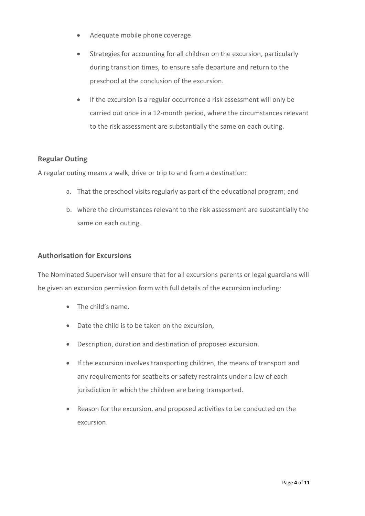- Adequate mobile phone coverage.
- Strategies for accounting for all children on the excursion, particularly during transition times, to ensure safe departure and return to the preschool at the conclusion of the excursion.
- If the excursion is a regular occurrence a risk assessment will only be carried out once in a 12-month period, where the circumstances relevant to the risk assessment are substantially the same on each outing.

# **Regular Outing**

A regular outing means a walk, drive or trip to and from a destination:

- a. That the preschool visits regularly as part of the educational program; and
- b. where the circumstances relevant to the risk assessment are substantially the same on each outing.

#### **Authorisation for Excursions**

The Nominated Supervisor will ensure that for all excursions parents or legal guardians will be given an excursion permission form with full details of the excursion including:

- The child's name.
- Date the child is to be taken on the excursion,
- Description, duration and destination of proposed excursion.
- If the excursion involves transporting children, the means of transport and any requirements for seatbelts or safety restraints under a law of each jurisdiction in which the children are being transported.
- Reason for the excursion, and proposed activities to be conducted on the excursion.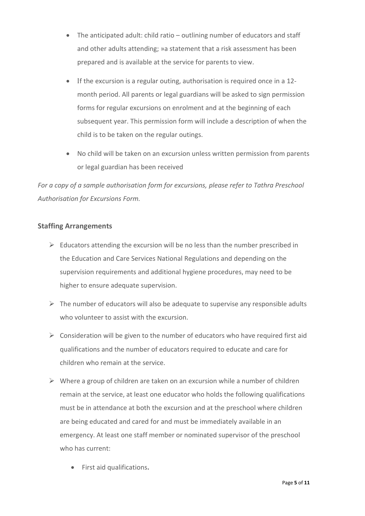- The anticipated adult: child ratio outlining number of educators and staff and other adults attending; »a statement that a risk assessment has been prepared and is available at the service for parents to view.
- If the excursion is a regular outing, authorisation is required once in a 12 month period. All parents or legal guardians will be asked to sign permission forms for regular excursions on enrolment and at the beginning of each subsequent year. This permission form will include a description of when the child is to be taken on the regular outings.
- No child will be taken on an excursion unless written permission from parents or legal guardian has been received

*For a copy of a sample authorisation form for excursions, please refer to Tathra Preschool Authorisation for Excursions Form.*

# **Staffing Arrangements**

- $\triangleright$  Educators attending the excursion will be no less than the number prescribed in the Education and Care Services National Regulations and depending on the supervision requirements and additional hygiene procedures, may need to be higher to ensure adequate supervision.
- $\triangleright$  The number of educators will also be adequate to supervise any responsible adults who volunteer to assist with the excursion.
- $\triangleright$  Consideration will be given to the number of educators who have required first aid qualifications and the number of educators required to educate and care for children who remain at the service.
- $\triangleright$  Where a group of children are taken on an excursion while a number of children remain at the service, at least one educator who holds the following qualifications must be in attendance at both the excursion and at the preschool where children are being educated and cared for and must be immediately available in an emergency. At least one staff member or nominated supervisor of the preschool who has current:
	- First aid qualifications**.**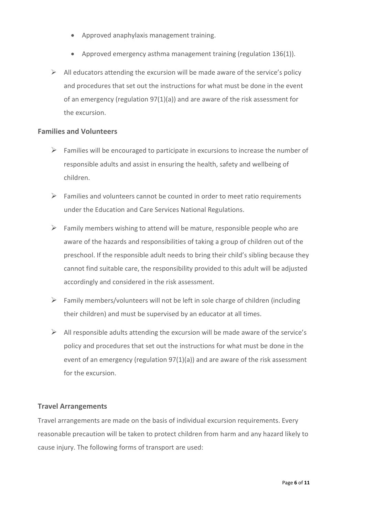- Approved anaphylaxis management training.
- Approved emergency asthma management training (regulation 136(1)).
- $\triangleright$  All educators attending the excursion will be made aware of the service's policy and procedures that set out the instructions for what must be done in the event of an emergency (regulation 97(1)(a)) and are aware of the risk assessment for the excursion.

#### **Families and Volunteers**

- $\triangleright$  Families will be encouraged to participate in excursions to increase the number of responsible adults and assist in ensuring the health, safety and wellbeing of children.
- $\triangleright$  Families and volunteers cannot be counted in order to meet ratio requirements under the Education and Care Services National Regulations.
- $\triangleright$  Family members wishing to attend will be mature, responsible people who are aware of the hazards and responsibilities of taking a group of children out of the preschool. If the responsible adult needs to bring their child's sibling because they cannot find suitable care, the responsibility provided to this adult will be adjusted accordingly and considered in the risk assessment.
- $\triangleright$  Family members/volunteers will not be left in sole charge of children (including their children) and must be supervised by an educator at all times.
- $\triangleright$  All responsible adults attending the excursion will be made aware of the service's policy and procedures that set out the instructions for what must be done in the event of an emergency (regulation  $97(1)(a)$ ) and are aware of the risk assessment for the excursion.

### **Travel Arrangements**

Travel arrangements are made on the basis of individual excursion requirements. Every reasonable precaution will be taken to protect children from harm and any hazard likely to cause injury. The following forms of transport are used: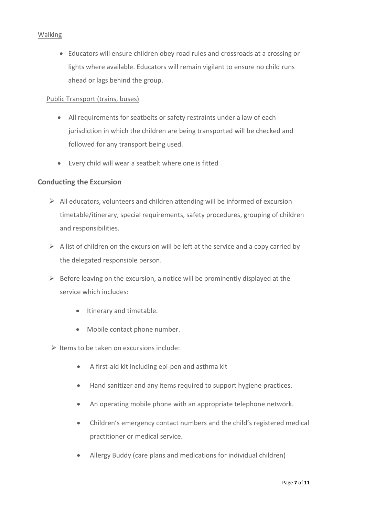#### Walking

• Educators will ensure children obey road rules and crossroads at a crossing or lights where available. Educators will remain vigilant to ensure no child runs ahead or lags behind the group.

#### Public Transport (trains, buses)

- All requirements for seatbelts or safety restraints under a law of each jurisdiction in which the children are being transported will be checked and followed for any transport being used.
- Every child will wear a seatbelt where one is fitted

#### **Conducting the Excursion**

- $\triangleright$  All educators, volunteers and children attending will be informed of excursion timetable/itinerary, special requirements, safety procedures, grouping of children and responsibilities.
- $\triangleright$  A list of children on the excursion will be left at the service and a copy carried by the delegated responsible person.
- $\triangleright$  Before leaving on the excursion, a notice will be prominently displayed at the service which includes:
	- Itinerary and timetable.
	- Mobile contact phone number.

 $\triangleright$  Items to be taken on excursions include:

- A first-aid kit including epi-pen and asthma kit
- Hand sanitizer and any items required to support hygiene practices.
- An operating mobile phone with an appropriate telephone network.
- Children's emergency contact numbers and the child's registered medical practitioner or medical service.
- Allergy Buddy (care plans and medications for individual children)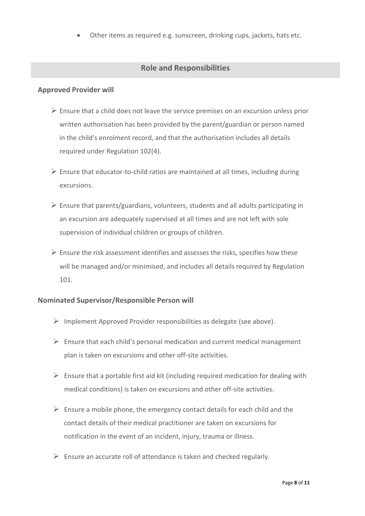• Other items as required e.g. sunscreen, drinking cups, jackets, hats etc.

## **Role and Responsibilities**

#### **Approved Provider will**

- ➢ Ensure that a child does not leave the service premises on an excursion unless prior written authorisation has been provided by the parent/guardian or person named in the child's enrolment record, and that the authorisation includes all details required under Regulation 102(4).
- $\triangleright$  Ensure that educator-to-child ratios are maintained at all times, including during excursions.
- $\triangleright$  Ensure that parents/guardians, volunteers, students and all adults participating in an excursion are adequately supervised at all times and are not left with sole supervision of individual children or groups of children.
- $\triangleright$  Ensure the risk assessment identifies and assesses the risks, specifies how these will be managed and/or minimised, and includes all details required by Regulation 101.

### **Nominated Supervisor/Responsible Person will**

- $\triangleright$  Implement Approved Provider responsibilities as delegate (see above).
- $\triangleright$  Ensure that each child's personal medication and current medical management plan is taken on excursions and other off-site activities.
- $\triangleright$  Ensure that a portable first aid kit (including required medication for dealing with medical conditions) is taken on excursions and other off-site activities.
- $\triangleright$  Ensure a mobile phone, the emergency contact details for each child and the contact details of their medical practitioner are taken on excursions for notification in the event of an incident, injury, trauma or illness.
- $\triangleright$  Ensure an accurate roll of attendance is taken and checked regularly.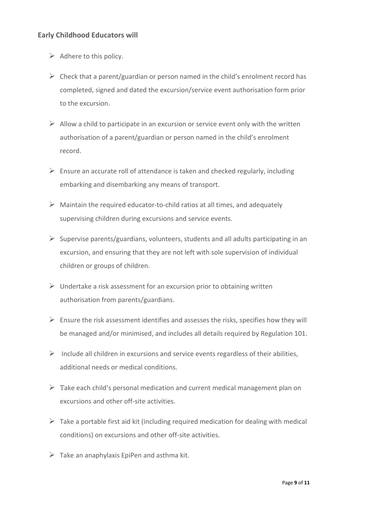# **Early Childhood Educators will**

- $\triangleright$  Adhere to this policy.
- $\triangleright$  Check that a parent/guardian or person named in the child's enrolment record has completed, signed and dated the excursion/service event authorisation form prior to the excursion.
- $\triangleright$  Allow a child to participate in an excursion or service event only with the written authorisation of a parent/guardian or person named in the child's enrolment record.
- $\triangleright$  Ensure an accurate roll of attendance is taken and checked regularly, including embarking and disembarking any means of transport.
- $\triangleright$  Maintain the required educator-to-child ratios at all times, and adequately supervising children during excursions and service events.
- $\triangleright$  Supervise parents/guardians, volunteers, students and all adults participating in an excursion, and ensuring that they are not left with sole supervision of individual children or groups of children.
- $\triangleright$  Undertake a risk assessment for an excursion prior to obtaining written authorisation from parents/guardians.
- $\triangleright$  Ensure the risk assessment identifies and assesses the risks, specifies how they will be managed and/or minimised, and includes all details required by Regulation 101.
- $\triangleright$  Include all children in excursions and service events regardless of their abilities, additional needs or medical conditions.
- $\triangleright$  Take each child's personal medication and current medical management plan on excursions and other off-site activities.
- $\triangleright$  Take a portable first aid kit (including required medication for dealing with medical conditions) on excursions and other off-site activities.
- $\triangleright$  Take an anaphylaxis EpiPen and asthma kit.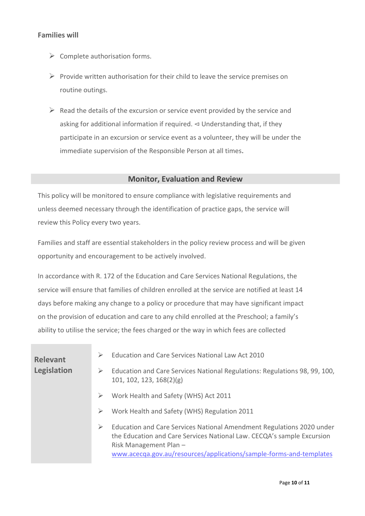### **Families will**

- $\triangleright$  Complete authorisation forms.
- $\triangleright$  Provide written authorisation for their child to leave the service premises on routine outings.
- $\triangleright$  Read the details of the excursion or service event provided by the service and asking for additional information if required.  $\triangleleft$  Understanding that, if they participate in an excursion or service event as a volunteer, they will be under the immediate supervision of the Responsible Person at all times.

#### **Monitor, Evaluation and Review**

This policy will be monitored to ensure compliance with legislative requirements and unless deemed necessary through the identification of practice gaps, the service will review this Policy every two years.

Families and staff are essential stakeholders in the policy review process and will be given opportunity and encouragement to be actively involved.

In accordance with R. 172 of the Education and Care Services National Regulations, the service will ensure that families of children enrolled at the service are notified at least 14 days before making any change to a policy or procedure that may have significant impact on the provision of education and care to any child enrolled at the Preschool; a family's ability to utilise the service; the fees charged or the way in which fees are collected

| <b>Relevant</b><br>Legislation | Education and Care Services National Law Act 2010<br>➤<br>Education and Care Services National Regulations: Regulations 98, 99, 100,<br>➤<br>101, 102, 123, 168(2)(g)                                                                                 |
|--------------------------------|-------------------------------------------------------------------------------------------------------------------------------------------------------------------------------------------------------------------------------------------------------|
|                                | Work Health and Safety (WHS) Act 2011<br>➤                                                                                                                                                                                                            |
|                                | Work Health and Safety (WHS) Regulation 2011<br>➤                                                                                                                                                                                                     |
|                                | Education and Care Services National Amendment Regulations 2020 under<br>➤<br>the Education and Care Services National Law. CECQA's sample Excursion<br>Risk Management Plan -<br>www.acecqa.gov.au/resources/applications/sample-forms-and-templates |